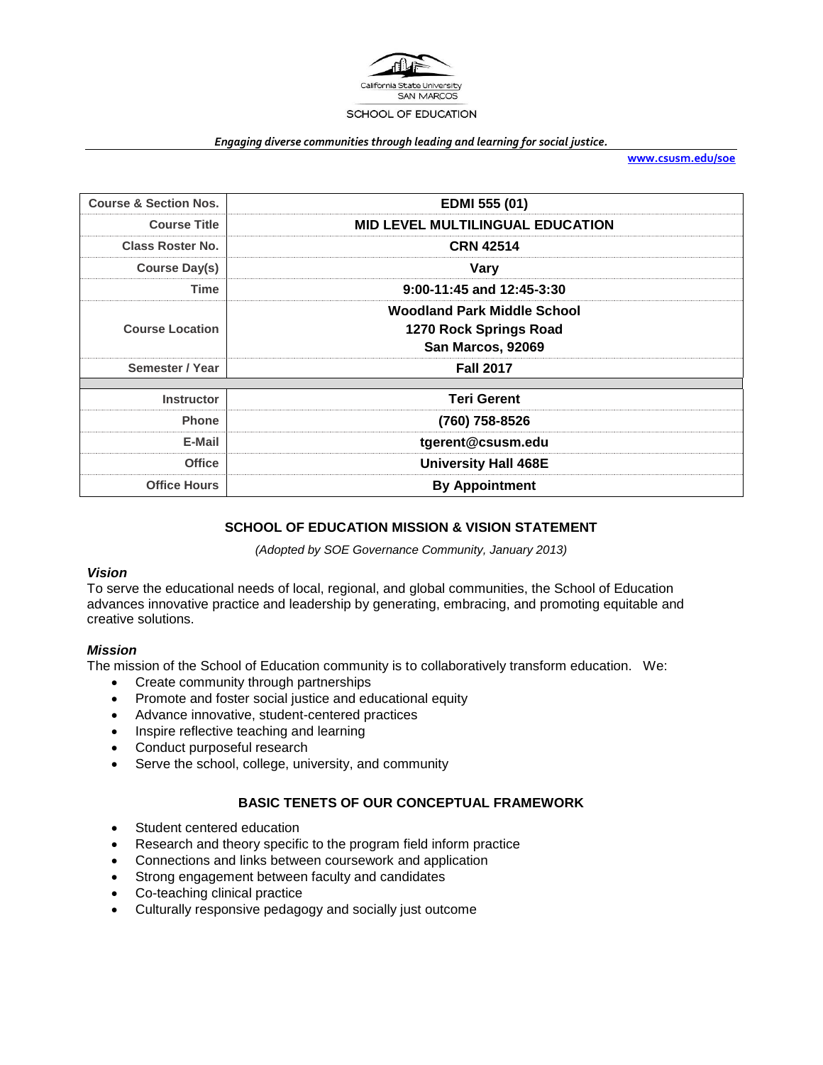

#### *Engaging diverse communities through leading and learning for social justice.*

**[www.csusm.edu/soe](http://www.csusm.edu/soe)**

| <b>Course &amp; Section Nos.</b> | EDMI 555 (01)                                                                     |  |
|----------------------------------|-----------------------------------------------------------------------------------|--|
| <b>Course Title</b>              | <b>MID LEVEL MULTILINGUAL EDUCATION</b>                                           |  |
| <b>Class Roster No.</b>          | <b>CRN 42514</b>                                                                  |  |
| Course Day(s)                    | Vary                                                                              |  |
| <b>Time</b>                      | 9:00-11:45 and 12:45-3:30                                                         |  |
| <b>Course Location</b>           | <b>Woodland Park Middle School</b><br>1270 Rock Springs Road<br>San Marcos, 92069 |  |
| Semester / Year                  | <b>Fall 2017</b>                                                                  |  |
|                                  |                                                                                   |  |
| <b>Instructor</b>                | <b>Teri Gerent</b>                                                                |  |
| <b>Phone</b>                     | (760) 758-8526                                                                    |  |
| E-Mail                           | tgerent@csusm.edu                                                                 |  |
| <b>Office</b>                    | <b>University Hall 468E</b>                                                       |  |
| <b>Office Hours</b>              | <b>By Appointment</b>                                                             |  |

### **SCHOOL OF EDUCATION MISSION & VISION STATEMENT**

*(Adopted by SOE Governance Community, January 2013)*

# *Vision*

To serve the educational needs of local, regional, and global communities, the School of Education advances innovative practice and leadership by generating, embracing, and promoting equitable and creative solutions.

#### *Mission*

The mission of the School of Education community is to collaboratively transform education. We:

- Create community through partnerships
- Promote and foster social justice and educational equity
- Advance innovative, student-centered practices
- Inspire reflective teaching and learning
- Conduct purposeful research
- Serve the school, college, university, and community

#### **BASIC TENETS OF OUR CONCEPTUAL FRAMEWORK**

- Student centered education
- Research and theory specific to the program field inform practice
- Connections and links between coursework and application
- Strong engagement between faculty and candidates
- Co-teaching clinical practice
- Culturally responsive pedagogy and socially just outcome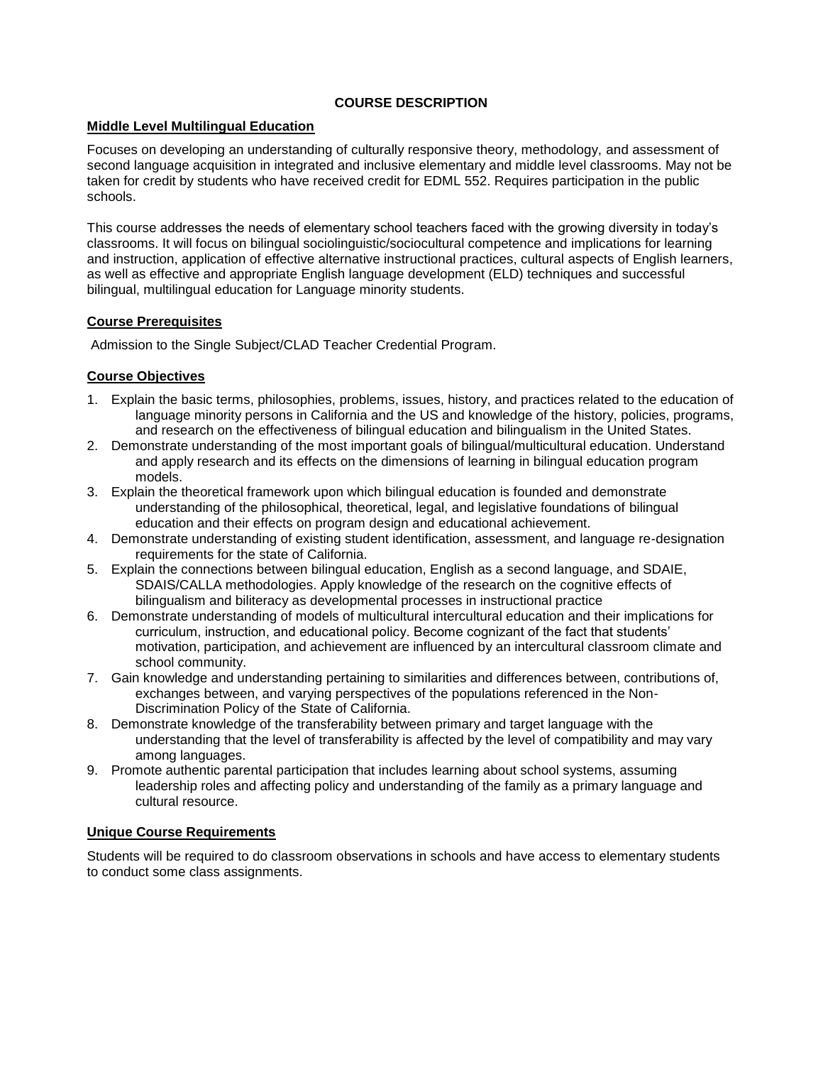# **COURSE DESCRIPTION**

# **Middle Level Multilingual Education**

Focuses on developing an understanding of culturally responsive theory, methodology, and assessment of second language acquisition in integrated and inclusive elementary and middle level classrooms. May not be taken for credit by students who have received credit for EDML 552. Requires participation in the public schools.

This course addresses the needs of elementary school teachers faced with the growing diversity in today's classrooms. It will focus on bilingual sociolinguistic/sociocultural competence and implications for learning and instruction, application of effective alternative instructional practices, cultural aspects of English learners, as well as effective and appropriate English language development (ELD) techniques and successful bilingual, multilingual education for Language minority students.

### **Course Prerequisites**

Admission to the Single Subject/CLAD Teacher Credential Program.

# **Course Objectives**

- 1. Explain the basic terms, philosophies, problems, issues, history, and practices related to the education of language minority persons in California and the US and knowledge of the history, policies, programs, and research on the effectiveness of bilingual education and bilingualism in the United States.
- 2. Demonstrate understanding of the most important goals of bilingual/multicultural education. Understand and apply research and its effects on the dimensions of learning in bilingual education program models.
- 3. Explain the theoretical framework upon which bilingual education is founded and demonstrate understanding of the philosophical, theoretical, legal, and legislative foundations of bilingual education and their effects on program design and educational achievement.
- 4. Demonstrate understanding of existing student identification, assessment, and language re-designation requirements for the state of California.
- 5. Explain the connections between bilingual education, English as a second language, and SDAIE, SDAIS/CALLA methodologies. Apply knowledge of the research on the cognitive effects of bilingualism and biliteracy as developmental processes in instructional practice
- 6. Demonstrate understanding of models of multicultural intercultural education and their implications for curriculum, instruction, and educational policy. Become cognizant of the fact that students' motivation, participation, and achievement are influenced by an intercultural classroom climate and school community.
- 7. Gain knowledge and understanding pertaining to similarities and differences between, contributions of, exchanges between, and varying perspectives of the populations referenced in the Non-Discrimination Policy of the State of California.
- 8. Demonstrate knowledge of the transferability between primary and target language with the understanding that the level of transferability is affected by the level of compatibility and may vary among languages.
- 9. Promote authentic parental participation that includes learning about school systems, assuming leadership roles and affecting policy and understanding of the family as a primary language and cultural resource.

#### **Unique Course Requirements**

Students will be required to do classroom observations in schools and have access to elementary students to conduct some class assignments.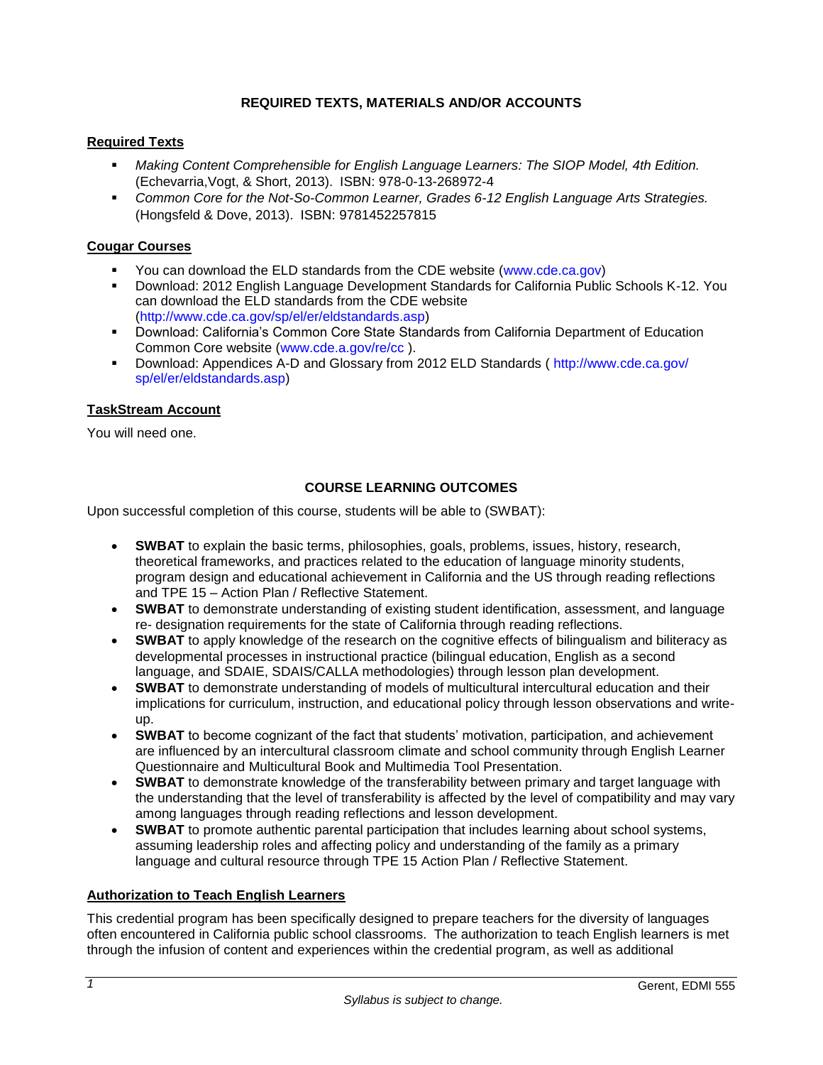# **REQUIRED TEXTS, MATERIALS AND/OR ACCOUNTS**

# **Required Texts**

- **Making Content Comprehensible for English Language Learners: The SIOP Model, 4th Edition.** (Echevarria,Vogt, & Short, 2013). ISBN: 978-0-13-268972-4
- *Common Core for the Not-So-Common Learner, Grades 6-12 English Language Arts Strategies.*  (Hongsfeld & Dove, 2013). ISBN: 9781452257815

#### **Cougar Courses**

- You can download the ELD standards from the CDE website (www.cde.ca.gov)
- Download: 2012 English Language Development Standards for California Public Schools K-12. You can download the ELD standards from the CDE website (http://www.cde.ca.gov/sp/el/er/eldstandards.asp)
- Download: California's Common Core State Standards from California Department of Education Common Core website (www.cde.a.gov/re/cc ).
- Download: Appendices A-D and Glossary from 2012 ELD Standards ( http://www.cde.ca.gov/ sp/el/er/eldstandards.asp)

### **TaskStream Account**

You will need one.

# **COURSE LEARNING OUTCOMES**

Upon successful completion of this course, students will be able to (SWBAT):

- **SWBAT** to explain the basic terms, philosophies, goals, problems, issues, history, research, theoretical frameworks, and practices related to the education of language minority students, program design and educational achievement in California and the US through reading reflections and TPE 15 – Action Plan / Reflective Statement.
- **SWBAT** to demonstrate understanding of existing student identification, assessment, and language re- designation requirements for the state of California through reading reflections.
- **SWBAT** to apply knowledge of the research on the cognitive effects of bilingualism and biliteracy as developmental processes in instructional practice (bilingual education, English as a second language, and SDAIE, SDAIS/CALLA methodologies) through lesson plan development.
- **SWBAT** to demonstrate understanding of models of multicultural intercultural education and their implications for curriculum, instruction, and educational policy through lesson observations and writeup.
- **SWBAT** to become cognizant of the fact that students' motivation, participation, and achievement are influenced by an intercultural classroom climate and school community through English Learner Questionnaire and Multicultural Book and Multimedia Tool Presentation.
- **SWBAT** to demonstrate knowledge of the transferability between primary and target language with the understanding that the level of transferability is affected by the level of compatibility and may vary among languages through reading reflections and lesson development.
- **SWBAT** to promote authentic parental participation that includes learning about school systems, assuming leadership roles and affecting policy and understanding of the family as a primary language and cultural resource through TPE 15 Action Plan / Reflective Statement.

# **Authorization to Teach English Learners**

This credential program has been specifically designed to prepare teachers for the diversity of languages often encountered in California public school classrooms. The authorization to teach English learners is met through the infusion of content and experiences within the credential program, as well as additional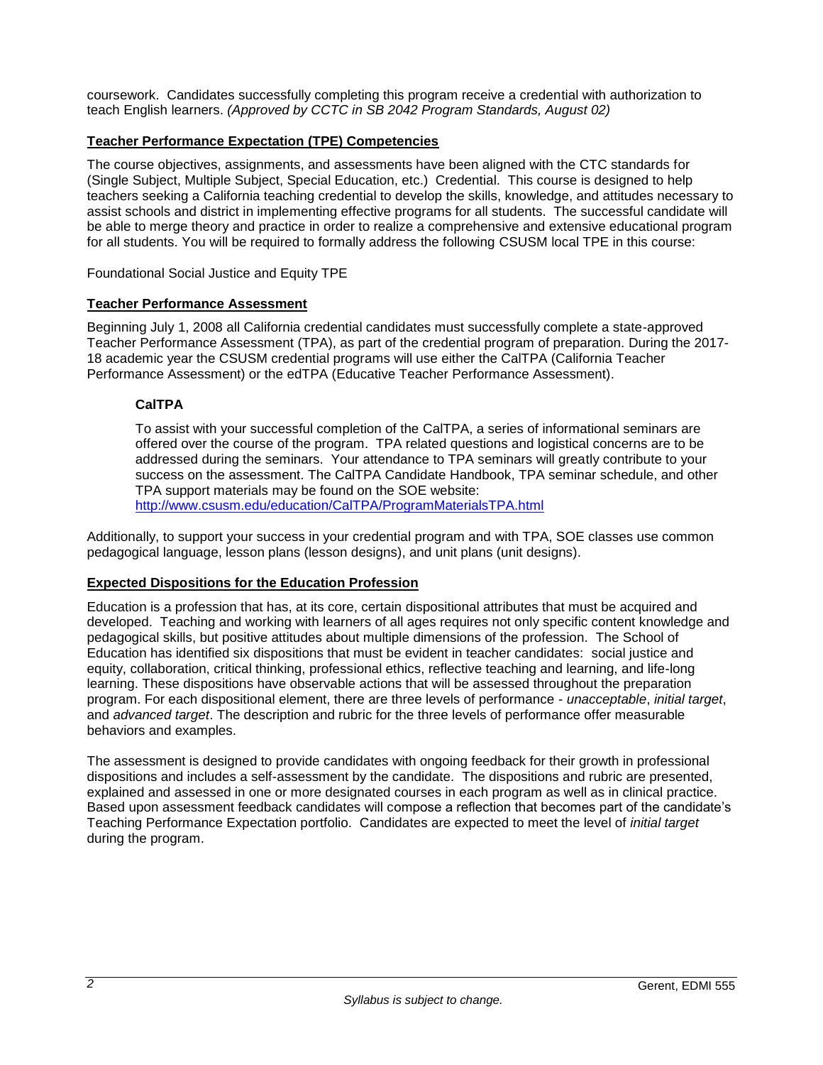coursework. Candidates successfully completing this program receive a credential with authorization to teach English learners. *(Approved by CCTC in SB 2042 Program Standards, August 02)*

# **Teacher Performance Expectation (TPE) Competencies**

The course objectives, assignments, and assessments have been aligned with the CTC standards for (Single Subject, Multiple Subject, Special Education, etc.) Credential. This course is designed to help teachers seeking a California teaching credential to develop the skills, knowledge, and attitudes necessary to assist schools and district in implementing effective programs for all students. The successful candidate will be able to merge theory and practice in order to realize a comprehensive and extensive educational program for all students. You will be required to formally address the following CSUSM local TPE in this course:

Foundational Social Justice and Equity TPE

### **Teacher Performance Assessment**

Beginning July 1, 2008 all California credential candidates must successfully complete a state-approved Teacher Performance Assessment (TPA), as part of the credential program of preparation. During the 2017- 18 academic year the CSUSM credential programs will use either the CalTPA (California Teacher Performance Assessment) or the edTPA (Educative Teacher Performance Assessment).

### **CalTPA**

To assist with your successful completion of the CalTPA, a series of informational seminars are offered over the course of the program. TPA related questions and logistical concerns are to be addressed during the seminars. Your attendance to TPA seminars will greatly contribute to your success on the assessment. The CalTPA Candidate Handbook, TPA seminar schedule, and other TPA support materials may be found on the SOE website: <http://www.csusm.edu/education/CalTPA/ProgramMaterialsTPA.html>

Additionally, to support your success in your credential program and with TPA, SOE classes use common pedagogical language, lesson plans (lesson designs), and unit plans (unit designs).

# **Expected Dispositions for the Education Profession**

Education is a profession that has, at its core, certain dispositional attributes that must be acquired and developed. Teaching and working with learners of all ages requires not only specific content knowledge and pedagogical skills, but positive attitudes about multiple dimensions of the profession. The School of Education has identified six dispositions that must be evident in teacher candidates: social justice and equity, collaboration, critical thinking, professional ethics, reflective teaching and learning, and life-long learning. These dispositions have observable actions that will be assessed throughout the preparation program. For each dispositional element, there are three levels of performance - *unacceptable*, *initial target*, and *advanced target*. The description and rubric for the three levels of performance offer measurable behaviors and examples.

The assessment is designed to provide candidates with ongoing feedback for their growth in professional dispositions and includes a self-assessment by the candidate. The dispositions and rubric are presented, explained and assessed in one or more designated courses in each program as well as in clinical practice. Based upon assessment feedback candidates will compose a reflection that becomes part of the candidate's Teaching Performance Expectation portfolio. Candidates are expected to meet the level of *initial target* during the program.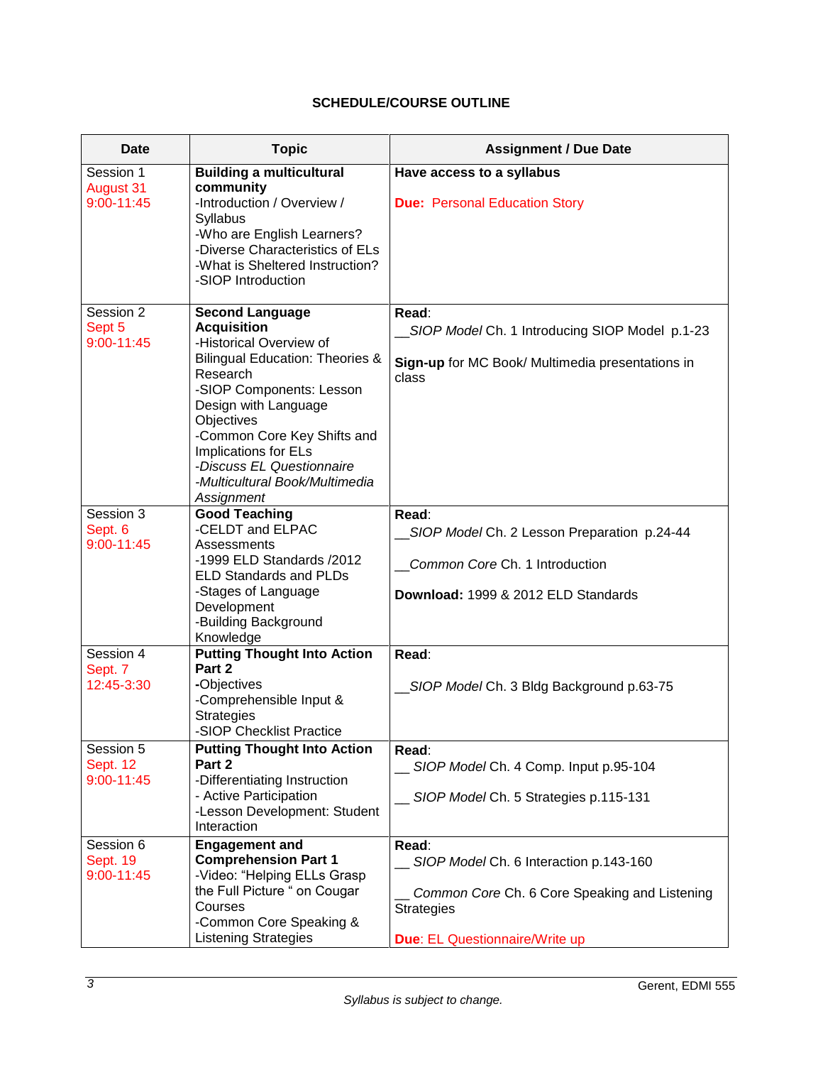# **SCHEDULE/COURSE OUTLINE**

| <b>Date</b>                              | <b>Topic</b>                                                                                                                                                                                                                                                 | <b>Assignment / Due Date</b>                                                                         |
|------------------------------------------|--------------------------------------------------------------------------------------------------------------------------------------------------------------------------------------------------------------------------------------------------------------|------------------------------------------------------------------------------------------------------|
| Session 1<br>August 31<br>$9:00 - 11:45$ | <b>Building a multicultural</b><br>community<br>-Introduction / Overview /<br>Syllabus<br>-Who are English Learners?<br>-Diverse Characteristics of ELs                                                                                                      | Have access to a syllabus<br><b>Due: Personal Education Story</b>                                    |
| Session 2                                | -What is Sheltered Instruction?<br>-SIOP Introduction<br><b>Second Language</b>                                                                                                                                                                              | Read:                                                                                                |
| Sept 5<br>$9:00 - 11:45$                 | <b>Acquisition</b><br>-Historical Overview of                                                                                                                                                                                                                | SIOP Model Ch. 1 Introducing SIOP Model p.1-23                                                       |
|                                          | <b>Bilingual Education: Theories &amp;</b><br>Research<br>-SIOP Components: Lesson<br>Design with Language<br>Objectives<br>-Common Core Key Shifts and<br>Implications for ELs<br>-Discuss EL Questionnaire<br>-Multicultural Book/Multimedia<br>Assignment | Sign-up for MC Book/ Multimedia presentations in<br>class                                            |
| Session 3<br>Sept. 6                     | <b>Good Teaching</b><br>-CELDT and ELPAC                                                                                                                                                                                                                     | Read:<br>SIOP Model Ch. 2 Lesson Preparation p.24-44                                                 |
| $9:00 - 11:45$                           | Assessments<br>-1999 ELD Standards /2012<br><b>ELD Standards and PLDs</b><br>-Stages of Language                                                                                                                                                             | Common Core Ch. 1 Introduction                                                                       |
|                                          | Development<br>-Building Background<br>Knowledge                                                                                                                                                                                                             | Download: 1999 & 2012 ELD Standards                                                                  |
| Session 4<br>Sept. 7                     | <b>Putting Thought Into Action</b><br>Part 2                                                                                                                                                                                                                 | Read:                                                                                                |
| 12:45-3:30                               | -Objectives<br>-Comprehensible Input &<br><b>Strategies</b><br>-SIOP Checklist Practice                                                                                                                                                                      | SIOP Model Ch. 3 Bldg Background p.63-75                                                             |
| Session 5<br><b>Sept. 12</b>             | <b>Putting Thought Into Action</b><br>Part 2                                                                                                                                                                                                                 | Read:<br>SIOP Model Ch. 4 Comp. Input p.95-104                                                       |
| 9:00-11:45                               | -Differentiating Instruction<br>- Active Participation<br>-Lesson Development: Student<br>Interaction                                                                                                                                                        | SIOP Model Ch. 5 Strategies p.115-131                                                                |
| Session 6<br><b>Sept. 19</b>             | <b>Engagement and</b><br><b>Comprehension Part 1</b>                                                                                                                                                                                                         | Read:<br>SIOP Model Ch. 6 Interaction p.143-160                                                      |
| 9:00-11:45                               | -Video: "Helping ELLs Grasp<br>the Full Picture " on Cougar<br>Courses<br>-Common Core Speaking &<br><b>Listening Strategies</b>                                                                                                                             | Common Core Ch. 6 Core Speaking and Listening<br><b>Strategies</b><br>Due: EL Questionnaire/Write up |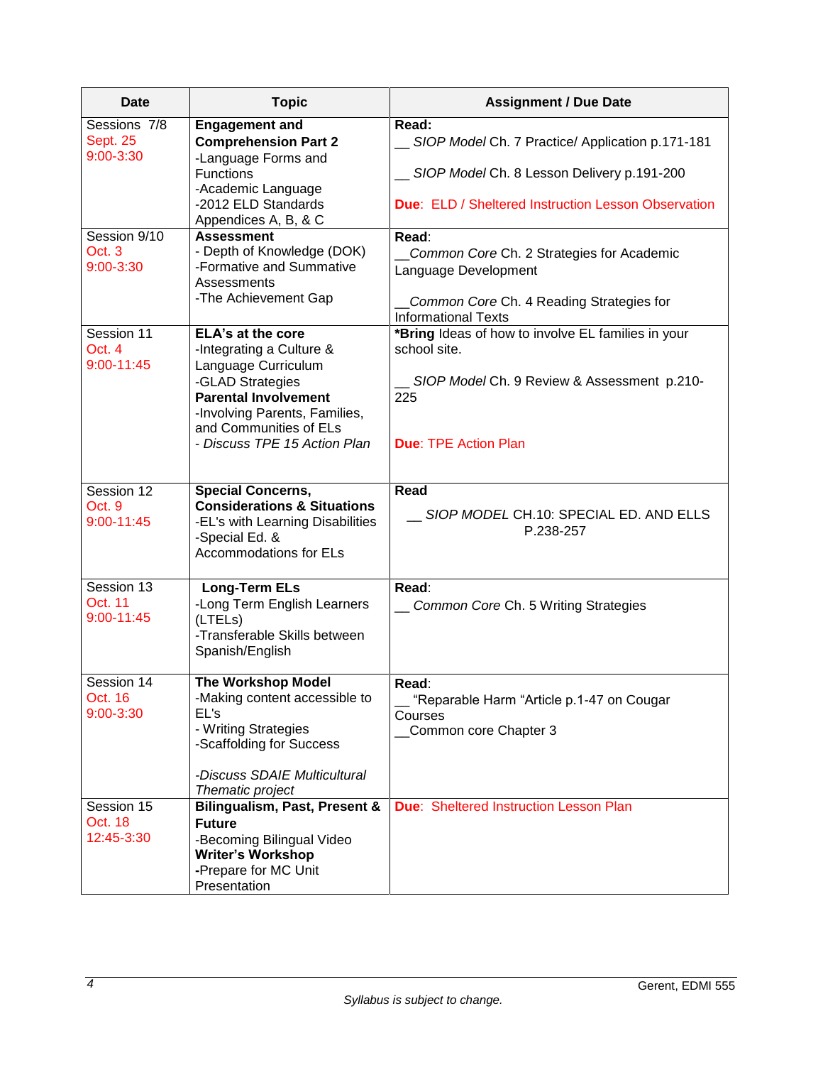| <b>Date</b>                                  | <b>Topic</b>                                                                                                                                                                                                              | <b>Assignment / Due Date</b>                                                                                                                                          |
|----------------------------------------------|---------------------------------------------------------------------------------------------------------------------------------------------------------------------------------------------------------------------------|-----------------------------------------------------------------------------------------------------------------------------------------------------------------------|
| Sessions 7/8<br><b>Sept. 25</b><br>9:00-3:30 | <b>Engagement and</b><br><b>Comprehension Part 2</b><br>-Language Forms and<br><b>Functions</b><br>-Academic Language<br>-2012 ELD Standards<br>Appendices A, B, & C                                                      | Read:<br>SIOP Model Ch. 7 Practice/ Application p.171-181<br>SIOP Model Ch. 8 Lesson Delivery p.191-200<br><b>Due: ELD / Sheltered Instruction Lesson Observation</b> |
| Session 9/10<br>Oct. 3<br>$9:00 - 3:30$      | <b>Assessment</b><br>- Depth of Knowledge (DOK)<br>-Formative and Summative<br>Assessments<br>-The Achievement Gap                                                                                                        | Read:<br>Common Core Ch. 2 Strategies for Academic<br>Language Development<br>Common Core Ch. 4 Reading Strategies for<br><b>Informational Texts</b>                  |
| Session 11<br>Oct. 4<br>$9:00 - 11:45$       | <b>ELA's at the core</b><br>-Integrating a Culture &<br>Language Curriculum<br>-GLAD Strategies<br><b>Parental Involvement</b><br>-Involving Parents, Families,<br>and Communities of ELs<br>- Discuss TPE 15 Action Plan | *Bring Ideas of how to involve EL families in your<br>school site.<br>SIOP Model Ch. 9 Review & Assessment p.210-<br>225<br><b>Due: TPE Action Plan</b>               |
| Session 12<br>Oct. 9<br>$9:00 - 11:45$       | <b>Special Concerns,</b><br><b>Considerations &amp; Situations</b><br>-EL's with Learning Disabilities<br>-Special Ed. &<br><b>Accommodations for ELs</b>                                                                 | Read<br>SIOP MODEL CH.10: SPECIAL ED. AND ELLS<br>P.238-257                                                                                                           |
| Session 13<br>Oct. 11<br>$9:00 - 11:45$      | <b>Long-Term ELs</b><br>-Long Term English Learners<br>(LTEL <sub>s</sub> )<br>-Transferable Skills between<br>Spanish/English                                                                                            | Read:<br>Common Core Ch. 5 Writing Strategies                                                                                                                         |
| Session 14<br>Oct. 16<br>9:00-3:30           | <b>The Workshop Model</b><br>-Making content accessible to<br>EL's<br>- Writing Strategies<br>-Scaffolding for Success<br>-Discuss SDAIE Multicultural<br>Thematic project                                                | Read:<br>"Reparable Harm "Article p.1-47 on Cougar<br>Courses<br>Common core Chapter 3                                                                                |
| Session 15<br>Oct. 18<br>12:45-3:30          | Bilingualism, Past, Present &<br><b>Future</b><br>-Becoming Bilingual Video<br><b>Writer's Workshop</b><br>-Prepare for MC Unit<br>Presentation                                                                           | <b>Due: Sheltered Instruction Lesson Plan</b>                                                                                                                         |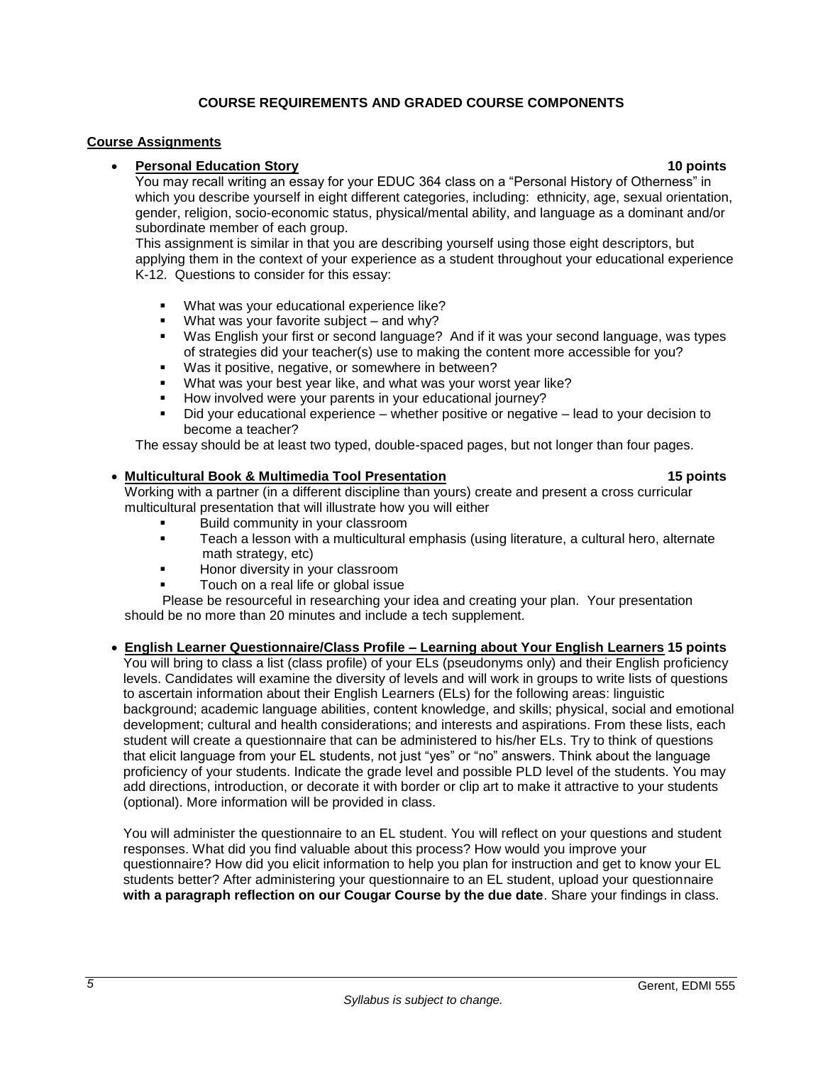# **COURSE REQUIREMENTS AND GRADED COURSE COMPONENTS**

#### **Course Assignments**

## **Personal Education Story 10 points**

You may recall writing an essay for your EDUC 364 class on a "Personal History of Otherness" in which you describe yourself in eight different categories, including: ethnicity, age, sexual orientation, gender, religion, socio-economic status, physical/mental ability, and language as a dominant and/or subordinate member of each group.

This assignment is similar in that you are describing yourself using those eight descriptors, but applying them in the context of your experience as a student throughout your educational experience K-12. Questions to consider for this essay:

- What was your educational experience like?
- **What was your favorite subject and why?**
- Was English your first or second language? And if it was your second language, was types of strategies did your teacher(s) use to making the content more accessible for you?
- Was it positive, negative, or somewhere in between?
- What was your best year like, and what was your worst year like?
- How involved were your parents in your educational journey?
- Did your educational experience whether positive or negative lead to your decision to become a teacher?

The essay should be at least two typed, double-spaced pages, but not longer than four pages.

# **Multicultural Book & Multimedia Tool Presentation 15 points**

Working with a partner (in a different discipline than yours) create and present a cross curricular multicultural presentation that will illustrate how you will either

- Build community in your classroom
- Teach a lesson with a multicultural emphasis (using literature, a cultural hero, alternate math strategy, etc)
- Honor diversity in your classroom
- Touch on a real life or global issue

Please be resourceful in researching your idea and creating your plan. Your presentation should be no more than 20 minutes and include a tech supplement.

#### **English Learner Questionnaire/Class Profile – Learning about Your English Learners 15 points**

You will bring to class a list (class profile) of your ELs (pseudonyms only) and their English proficiency levels. Candidates will examine the diversity of levels and will work in groups to write lists of questions to ascertain information about their English Learners (ELs) for the following areas: linguistic background; academic language abilities, content knowledge, and skills; physical, social and emotional development; cultural and health considerations; and interests and aspirations. From these lists, each student will create a questionnaire that can be administered to his/her ELs. Try to think of questions that elicit language from your EL students, not just "yes" or "no" answers. Think about the language proficiency of your students. Indicate the grade level and possible PLD level of the students. You may add directions, introduction, or decorate it with border or clip art to make it attractive to your students (optional). More information will be provided in class.

You will administer the questionnaire to an EL student. You will reflect on your questions and student responses. What did you find valuable about this process? How would you improve your questionnaire? How did you elicit information to help you plan for instruction and get to know your EL students better? After administering your questionnaire to an EL student, upload your questionnaire **with a paragraph reflection on our Cougar Course by the due date**. Share your findings in class.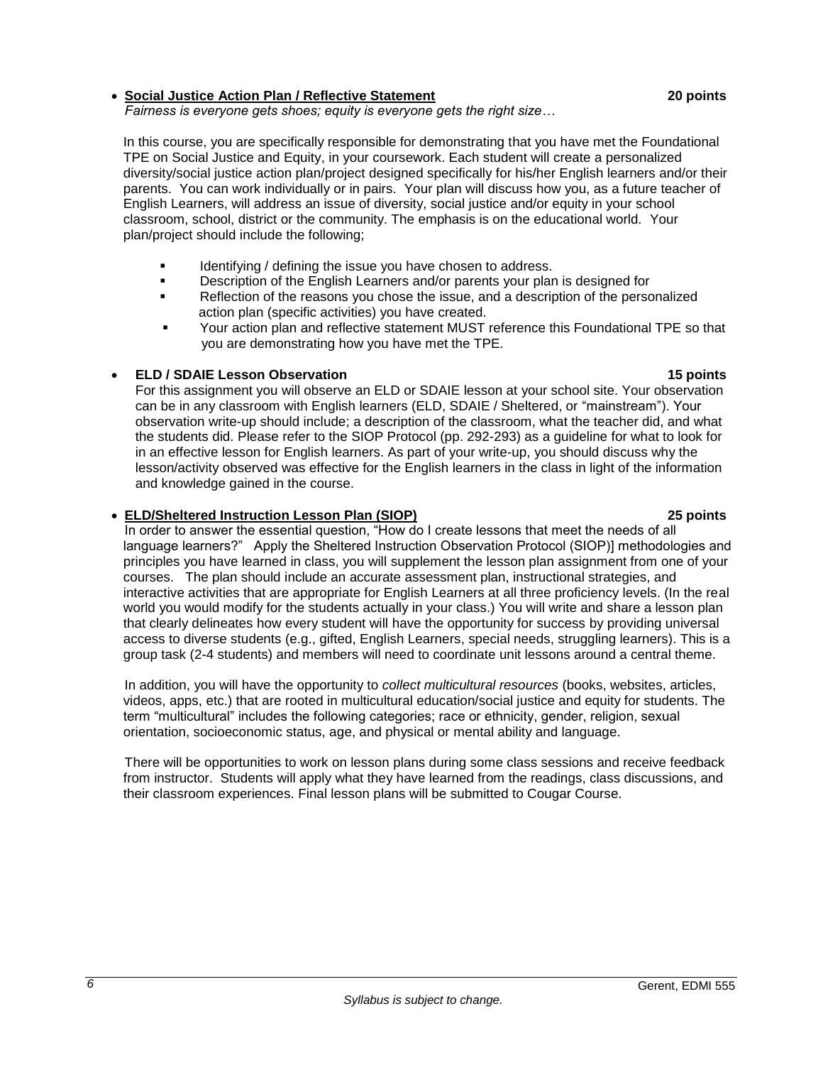# **Social Justice Action Plan / Reflective Statement 20 points**

*Fairness is everyone gets shoes; equity is everyone gets the right size…*

In this course, you are specifically responsible for demonstrating that you have met the Foundational TPE on Social Justice and Equity, in your coursework. Each student will create a personalized diversity/social justice action plan/project designed specifically for his/her English learners and/or their parents. You can work individually or in pairs. Your plan will discuss how you, as a future teacher of English Learners, will address an issue of diversity, social justice and/or equity in your school classroom, school, district or the community. The emphasis is on the educational world. Your plan/project should include the following;

- Identifying / defining the issue you have chosen to address.
- Description of the English Learners and/or parents your plan is designed for
- Reflection of the reasons you chose the issue, and a description of the personalized action plan (specific activities) you have created.
- Your action plan and reflective statement MUST reference this Foundational TPE so that you are demonstrating how you have met the TPE.

# **ELD / SDAIE Lesson Observation 15 points**

For this assignment you will observe an ELD or SDAIE lesson at your school site. Your observation can be in any classroom with English learners (ELD, SDAIE / Sheltered, or "mainstream"). Your observation write-up should include; a description of the classroom, what the teacher did, and what the students did. Please refer to the SIOP Protocol (pp. 292-293) as a guideline for what to look for in an effective lesson for English learners. As part of your write-up, you should discuss why the lesson/activity observed was effective for the English learners in the class in light of the information and knowledge gained in the course.

# **ELD/Sheltered Instruction Lesson Plan (SIOP) 25 points**

In order to answer the essential question, "How do I create lessons that meet the needs of all language learners?" Apply the Sheltered Instruction Observation Protocol (SIOP)] methodologies and principles you have learned in class, you will supplement the lesson plan assignment from one of your courses. The plan should include an accurate assessment plan, instructional strategies, and interactive activities that are appropriate for English Learners at all three proficiency levels. (In the real world you would modify for the students actually in your class.) You will write and share a lesson plan that clearly delineates how every student will have the opportunity for success by providing universal access to diverse students (e.g., gifted, English Learners, special needs, struggling learners). This is a group task (2-4 students) and members will need to coordinate unit lessons around a central theme.

In addition, you will have the opportunity to *collect multicultural resources* (books, websites, articles, videos, apps, etc.) that are rooted in multicultural education/social justice and equity for students. The term "multicultural" includes the following categories; race or ethnicity, gender, religion, sexual orientation, socioeconomic status, age, and physical or mental ability and language.

There will be opportunities to work on lesson plans during some class sessions and receive feedback from instructor. Students will apply what they have learned from the readings, class discussions, and their classroom experiences. Final lesson plans will be submitted to Cougar Course.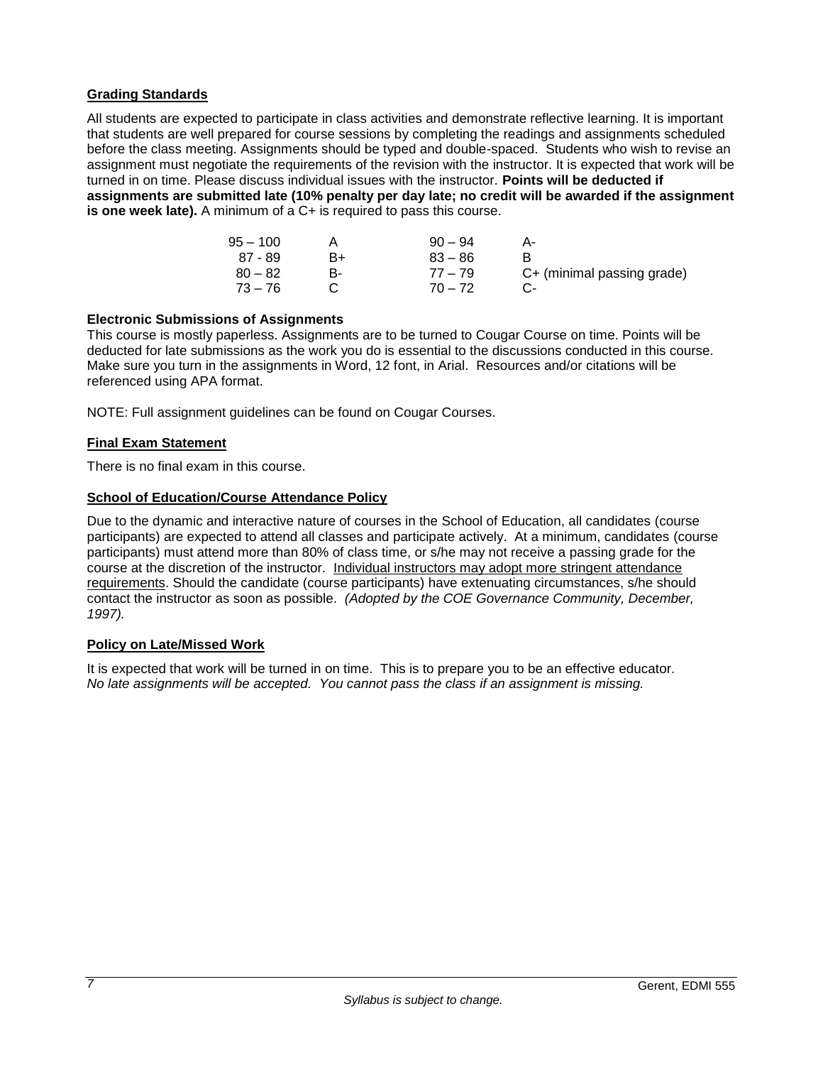# **Grading Standards**

All students are expected to participate in class activities and demonstrate reflective learning. It is important that students are well prepared for course sessions by completing the readings and assignments scheduled before the class meeting. Assignments should be typed and double-spaced. Students who wish to revise an assignment must negotiate the requirements of the revision with the instructor. It is expected that work will be turned in on time. Please discuss individual issues with the instructor. **Points will be deducted if assignments are submitted late (10% penalty per day late; no credit will be awarded if the assignment is one week late).** A minimum of a C+ is required to pass this course.

| $95 - 100$ |    | $90 - 94$ |                            |
|------------|----|-----------|----------------------------|
| 87 - 89    | R+ | $83 - 86$ |                            |
| $80 - 82$  | в- | $77 - 79$ | C+ (minimal passing grade) |
| $73 - 76$  |    | $70 - 72$ |                            |

# **Electronic Submissions of Assignments**

This course is mostly paperless. Assignments are to be turned to Cougar Course on time. Points will be deducted for late submissions as the work you do is essential to the discussions conducted in this course. Make sure you turn in the assignments in Word, 12 font, in Arial. Resources and/or citations will be referenced using APA format.

NOTE: Full assignment guidelines can be found on Cougar Courses.

# **Final Exam Statement**

There is no final exam in this course.

# **School of Education/Course Attendance Policy**

Due to the dynamic and interactive nature of courses in the School of Education, all candidates (course participants) are expected to attend all classes and participate actively. At a minimum, candidates (course participants) must attend more than 80% of class time, or s/he may not receive a passing grade for the course at the discretion of the instructor. Individual instructors may adopt more stringent attendance requirements. Should the candidate (course participants) have extenuating circumstances, s/he should contact the instructor as soon as possible. *(Adopted by the COE Governance Community, December, 1997).*

#### **Policy on Late/Missed Work**

It is expected that work will be turned in on time. This is to prepare you to be an effective educator. *No late assignments will be accepted. You cannot pass the class if an assignment is missing.*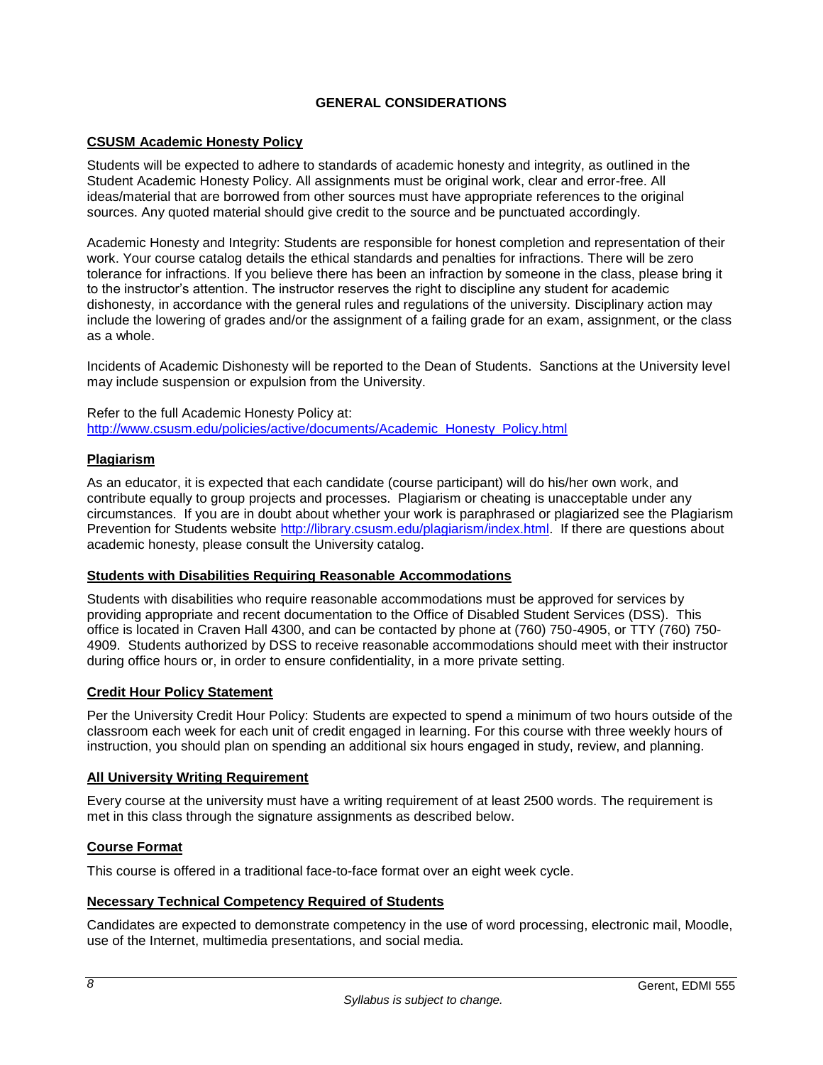# **GENERAL CONSIDERATIONS**

## **CSUSM Academic Honesty Policy**

Students will be expected to adhere to standards of academic honesty and integrity, as outlined in the Student Academic Honesty Policy. All assignments must be original work, clear and error-free. All ideas/material that are borrowed from other sources must have appropriate references to the original sources. Any quoted material should give credit to the source and be punctuated accordingly.

Academic Honesty and Integrity: Students are responsible for honest completion and representation of their work. Your course catalog details the ethical standards and penalties for infractions. There will be zero tolerance for infractions. If you believe there has been an infraction by someone in the class, please bring it to the instructor's attention. The instructor reserves the right to discipline any student for academic dishonesty, in accordance with the general rules and regulations of the university. Disciplinary action may include the lowering of grades and/or the assignment of a failing grade for an exam, assignment, or the class as a whole.

Incidents of Academic Dishonesty will be reported to the Dean of Students. Sanctions at the University level may include suspension or expulsion from the University.

Refer to the full Academic Honesty Policy at: [http://www.csusm.edu/policies/active/documents/Academic\\_Honesty\\_Policy.html](http://www.csusm.edu/policies/active/documents/Academic_Honesty_Policy.html)

#### **Plagiarism**

As an educator, it is expected that each candidate (course participant) will do his/her own work, and contribute equally to group projects and processes. Plagiarism or cheating is unacceptable under any circumstances. If you are in doubt about whether your work is paraphrased or plagiarized see the Plagiarism Prevention for Students website [http://library.csusm.edu/plagiarism/index.html.](http://library.csusm.edu/plagiarism/index.html) If there are questions about academic honesty, please consult the University catalog.

#### **Students with Disabilities Requiring Reasonable Accommodations**

Students with disabilities who require reasonable accommodations must be approved for services by providing appropriate and recent documentation to the Office of Disabled Student Services (DSS). This office is located in Craven Hall 4300, and can be contacted by phone at (760) 750-4905, or TTY (760) 750- 4909. Students authorized by DSS to receive reasonable accommodations should meet with their instructor during office hours or, in order to ensure confidentiality, in a more private setting.

# **Credit Hour Policy Statement**

Per the University Credit Hour Policy: Students are expected to spend a minimum of two hours outside of the classroom each week for each unit of credit engaged in learning. For this course with three weekly hours of instruction, you should plan on spending an additional six hours engaged in study, review, and planning.

#### **All University Writing Requirement**

Every course at the university must have a writing requirement of at least 2500 words. The requirement is met in this class through the signature assignments as described below.

#### **Course Format**

This course is offered in a traditional face-to-face format over an eight week cycle.

# **Necessary Technical Competency Required of Students**

Candidates are expected to demonstrate competency in the use of word processing, electronic mail, Moodle, use of the Internet, multimedia presentations, and social media.